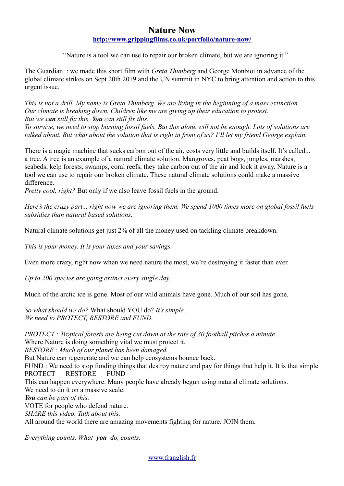# **Nature Now <http://www.grippingfilms.co.uk/portfolio/nature-now/>**

"Nature is a tool we can use to repair our broken climate, but we are ignoring it."

The Guardian : we made this short film with *Greta Thunberg* and George Monbiot in advance of the global climate strikes on Sept 20th 2019 and the UN summit in NYC to bring attention and action to this urgent issue.

*This is not a drill. My name is Greta Thunberg. We are living in the beginning of a mass extinction. Our climate is breaking down. Children like me are giving up their education to protest. But we can still fix this. You can still fix this.* 

*To survive, we need to stop burning fossil fuels. But this alone will not be enough. Lots of solutions are talked about. But what about the solution that is right in front of us? I'll let my friend George explain.*

There is a magic machine that sucks carbon out of the air, costs very little and builds itself. It's called... a tree. A tree is an example of a natural climate solution. Mangroves, peat bogs, jungles, marshes, seabeds, kelp forests, swamps, coral reefs, they take carbon out of the air and lock it away. Nature is a tool we can use to repair our broken climate. These natural climate solutions could make a massive difference.

*Pretty cool, right?* But only if we also leave fossil fuels in the ground.

*Here's the crazy part... right now we are ignoring them. We spend 1000 times more on global fossil fuels subsidies than natural based solutions.*

Natural climate solutions get just 2% of all the money used on tackling climate breakdown.

*This is your money. It is your taxes and your savings.* 

Even more crazy, right now when we need nature the most, we're destroying it faster than ever.

*Up to 200 species are going extinct every single day.*

Much of the arctic ice is gone. Most of our wild animals have gone. Much of our soil has gone.

*So what should we do?* What should YOU do? *It's simple... We need to PROTECT, RESTORE and FUND.*

*PROTECT : Tropical forests are being cut down at the rate of 30 football pitches a minute.*  Where Nature is doing something vital we must protect it.

*RESTORE : Much of our planet has been damaged.* 

But Nature can regenerate and we can help ecosystems bounce back.

FUND : We need to stop funding things that destroy nature and pay for things that help it. It is that simple PROTECT RESTORE FUND

This can happen everywhere. Many people have already begun using natural climate solutions. We need to do it on a massive scale.

*You can be part of this.*

VOTE for people who defend nature.

*SHARE this video. Talk about this.*

All around the world there are amazing movements fighting for nature. JOIN them.

*Everything counts. What you do, counts.*

[www.franglish.fr](http://www.franglish.fr/)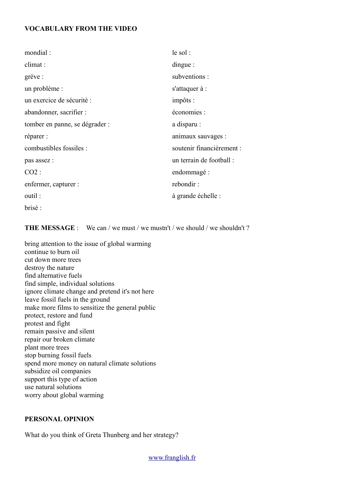## **VOCABULARY FROM THE VIDEO**

| mondial:                       | $le$ sol :                |
|--------------------------------|---------------------------|
| climat :                       | $\theta$ dingue:          |
| grève :                        | subventions:              |
| un problème :                  | s'attaquer à :            |
| un exercice de sécurité :      | impôts :                  |
| abandonner, sacrifier :        | économies :               |
| tomber en panne, se dégrader : | a disparu :               |
| réparer :                      | animaux sauvages :        |
| combustibles fossiles :        | soutenir financièrement : |
| pas assez :                    | un terrain de football :  |
| $CO2$ :                        | endommagé :               |
| enfermer, capturer :           | rebondir:                 |
| outil:                         | à grande échelle :        |
| brisé:                         |                           |

**THE MESSAGE** : We can / we must / we must it / we should / we shouldn't ?

bring attention to the issue of global warming continue to burn oil cut down more trees destroy the nature find alternative fuels find simple, individual solutions ignore climate change and pretend it's not here leave fossil fuels in the ground make more films to sensitize the general public protect, restore and fund protest and fight remain passive and silent repair our broken climate plant more trees stop burning fossil fuels spend more money on natural climate solutions subsidize oil companies support this type of action use natural solutions worry about global warming

## **PERSONAL OPINION**

What do you think of Greta Thunberg and her strategy?